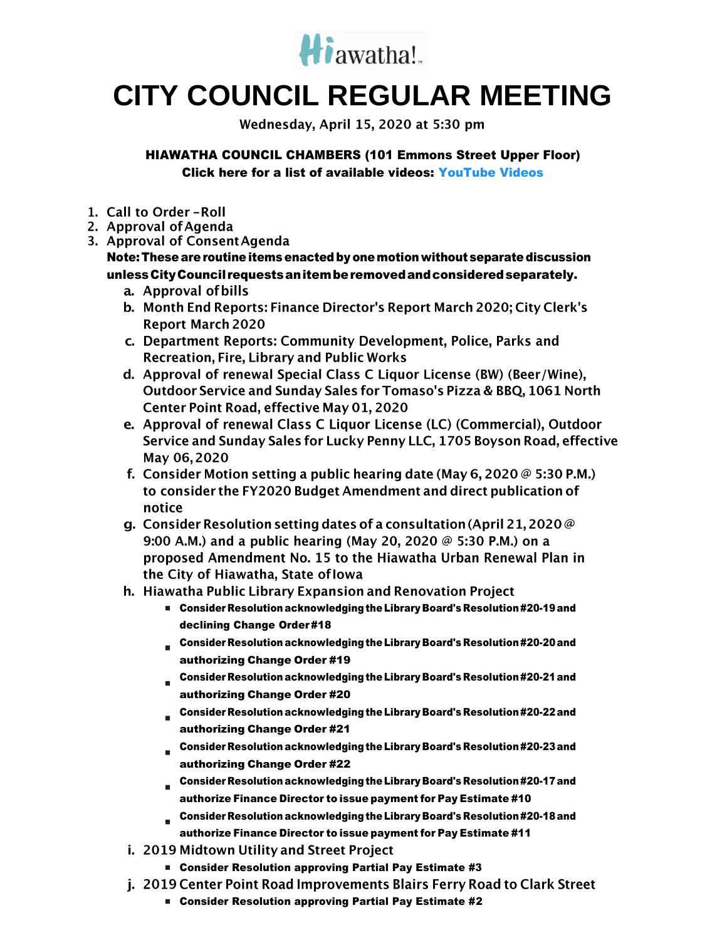

# **CITY COUNCIL REGULAR MEETING**

Wednesday, April 15, 2020 at 5:30 pm

HIAWATHA COUNCIL CHAMBERS (101 Emmons Street Upper Floor) Click here for a list of available videos: [YouTube Videos](https://www.youtube.com/channel/UC3Vyub-x0FNe8YImqf5XsOQ)

- 1. Call to Order-Roll
- 2. Approval of Agenda
- 3. Approval of Consent Agenda

## Note: These are routine items enacted by onemotion without separate discussion unlessCityCouncil requestsanitemberemovedandconsideredseparately.

- a. Approval of bills
- b. Month End Reports: Finance Director's Report March 2020; City Clerk's **Report March 2020**
- c. Department Reports: Community Development, Police, Parks and **Recreation, Fire, Library and Public Works**
- d. Approval of renewal Special Class C Liquor License (BW) (Beer/Wine), Outdoor Service and Sunday Sales for Tomaso's Pizza & BBQ, 1061 North Center Point Road, effective May 01, 2020
- e. Approval of renewal Class C Liquor License (LC) (Commercial), Outdoor Service and Sunday Sales for Lucky Penny LLC, 1705 Boyson Road, effective May 06, 2020
- f. Consider Motion setting a public hearing date (May 6, 2020  $\varnothing$  5:30 P.M.) to consider the FY2020 Budget Amendment and direct publication of notice
- g. Consider Resolution setting dates of a consultation (April 21, 2020  $\oslash$ 9:00 A.M.) and a public hearing (May 20, 2020  $\omega$  5:30 P.M.) on a proposed Amendment No. 15 to the Hiawatha Urban Renewal Plan in the City of Hiawatha, State of Iowa
- h. Hiawatha Public Library Expansion and Renovation Project
	- Consider Resolution acknowledging the Library Board's Resolution #20-19 and declining Change Order #18
	- Consider Resolution acknowledging the Library Board's Resolution#20-20and authorizing Change Order #19
	- Consider Resolution acknowledging the Library Board's Resolution#20-21and authorizing Change Order #20
	- Consider Resolution acknowledging the Library Board's Resolution#20-22and authorizing Change Order #21
	- Consider Resolution acknowledging the Library Board's Resolution#20-23and authorizing Change Order #22
	- Consider Resolution acknowledging the Library Board's Resolution#20-17and authorize Finance Director to issue payment for Pay Estimate #10
	- Consider Resolution acknowledging the Library Board's Resolution#20-18and authorize Finance Director to issue payment for Pay Estimate #11
- i. 2019 Midtown Utility and Street Project
	- Consider Resolution approving Partial Pay Estimate #3
- j. 2019 Center Point Road Improvements Blairs Ferry Road to Clark Street
	- Consider Resolution approving Partial Pay Estimate #2